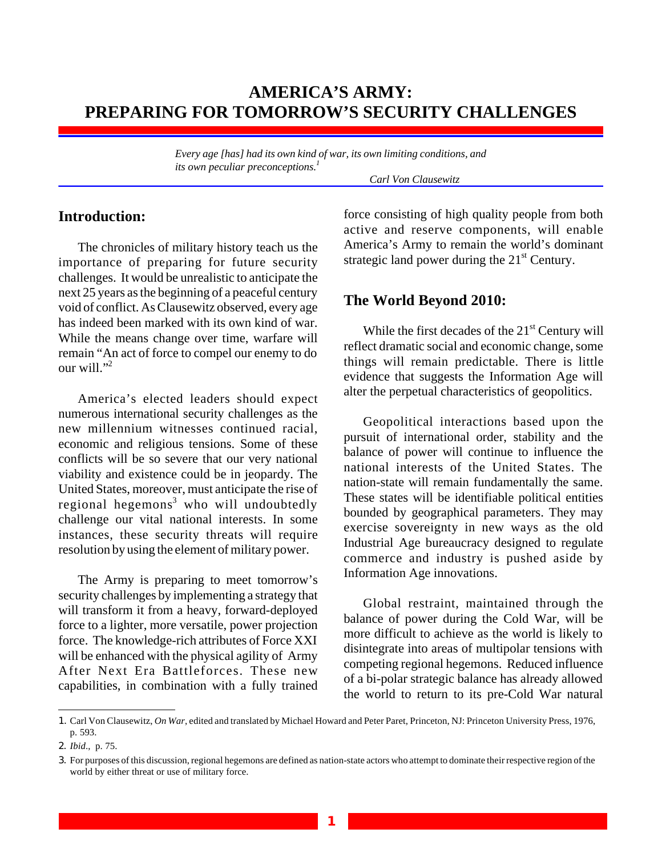## **AMERICA'S ARMY: PREPARING FOR TOMORROW'S SECURITY CHALLENGES**

*Every age [has] had its own kind of war, its own limiting conditions, and its own peculiar preconceptions. 1*

*Carl Von Clausewitz*

## **Introduction:**

The chronicles of military history teach us the importance of preparing for future security challenges. It would be unrealistic to anticipate the next 25 years as the beginning of a peaceful century void of conflict. As Clausewitz observed, every age has indeed been marked with its own kind of war. While the means change over time, warfare will remain "An act of force to compel our enemy to do our will."<sup>2</sup>

America's elected leaders should expect numerous international security challenges as the new millennium witnesses continued racial, economic and religious tensions. Some of these conflicts will be so severe that our very national viability and existence could be in jeopardy. The United States, moreover, must anticipate the rise of regional hegemons<sup>3</sup> who will undoubtedly challenge our vital national interests. In some instances, these security threats will require resolution by using the element of military power.

The Army is preparing to meet tomorrow's security challenges by implementing a strategy that will transform it from a heavy, forward-deployed force to a lighter, more versatile, power projection force. The knowledge-rich attributes of Force XXI will be enhanced with the physical agility of Army After Next Era Battleforces. These new capabilities, in combination with a fully trained force consisting of high quality people from both active and reserve components, will enable America's Army to remain the world's dominant strategic land power during the  $21<sup>st</sup>$  Century.

## **The World Beyond 2010:**

While the first decades of the 21<sup>st</sup> Century will reflect dramatic social and economic change, some things will remain predictable. There is little evidence that suggests the Information Age will alter the perpetual characteristics of geopolitics.

Geopolitical interactions based upon the pursuit of international order, stability and the balance of power will continue to influence the national interests of the United States. The nation-state will remain fundamentally the same. These states will be identifiable political entities bounded by geographical parameters. They may exercise sovereignty in new ways as the old Industrial Age bureaucracy designed to regulate commerce and industry is pushed aside by Information Age innovations.

Global restraint, maintained through the balance of power during the Cold War, will be more difficult to achieve as the world is likely to disintegrate into areas of multipolar tensions with competing regional hegemons. Reduced influence of a bi-polar strategic balance has already allowed the world to return to its pre-Cold War natural

<sup>1.</sup> Carl Von Clausewitz, *On War*, edited and translated by Michael Howard and Peter Paret, Princeton, NJ: Princeton University Press, 1976, p. 593.

<sup>2.</sup> *Ibid*., p. 75.

<sup>3.</sup> For purposes of this discussion, regional hegemons are defined as nation-state actors who attempt to dominate their respective region of the world by either threat or use of military force.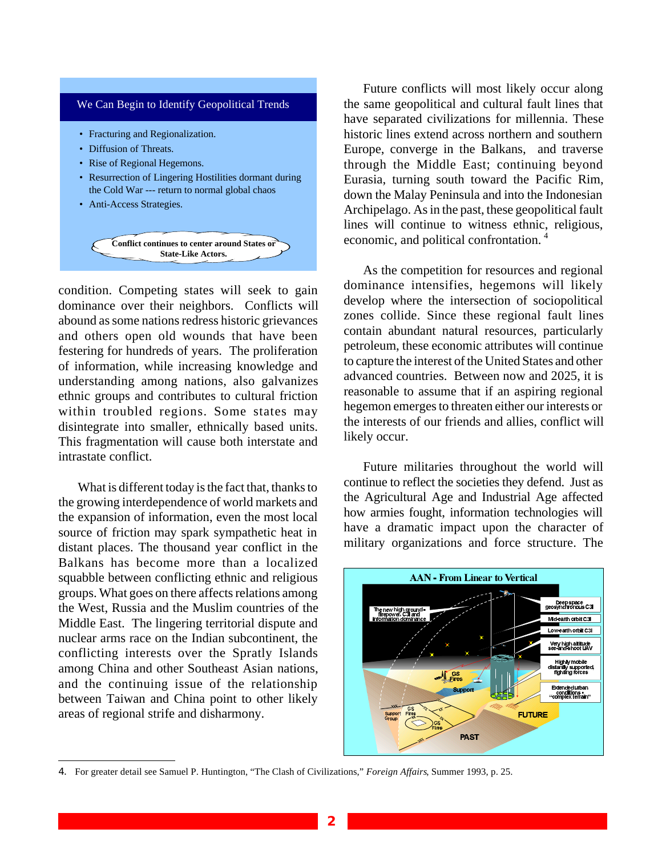

condition. Competing states will seek to gain dominance over their neighbors. Conflicts will abound as some nations redress historic grievances and others open old wounds that have been festering for hundreds of years. The proliferation of information, while increasing knowledge and understanding among nations, also galvanizes ethnic groups and contributes to cultural friction within troubled regions. Some states may disintegrate into smaller, ethnically based units. This fragmentation will cause both interstate and intrastate conflict.

What is different today is the fact that, thanks to the growing interdependence of world markets and the expansion of information, even the most local source of friction may spark sympathetic heat in distant places. The thousand year conflict in the Balkans has become more than a localized squabble between conflicting ethnic and religious groups. What goes on there affects relations among the West, Russia and the Muslim countries of the Middle East. The lingering territorial dispute and nuclear arms race on the Indian subcontinent, the conflicting interests over the Spratly Islands among China and other Southeast Asian nations, and the continuing issue of the relationship between Taiwan and China point to other likely areas of regional strife and disharmony.

Future conflicts will most likely occur along the same geopolitical and cultural fault lines that have separated civilizations for millennia. These historic lines extend across northern and southern Europe, converge in the Balkans, and traverse through the Middle East; continuing beyond Eurasia, turning south toward the Pacific Rim, down the Malay Peninsula and into the Indonesian Archipelago. As in the past, these geopolitical fault lines will continue to witness ethnic, religious, economic, and political confrontation. <sup>4</sup>

As the competition for resources and regional dominance intensifies, hegemons will likely develop where the intersection of sociopolitical zones collide. Since these regional fault lines contain abundant natural resources, particularly petroleum, these economic attributes will continue to capture the interest of the United States and other advanced countries. Between now and 2025, it is reasonable to assume that if an aspiring regional hegemon emerges to threaten either our interests or the interests of our friends and allies, conflict will likely occur.

Future militaries throughout the world will continue to reflect the societies they defend. Just as the Agricultural Age and Industrial Age affected how armies fought, information technologies will have a dramatic impact upon the character of military organizations and force structure. The



<sup>4.</sup> For greater detail see Samuel P. Huntington, "The Clash of Civilizations," *Foreign Affairs*, Summer 1993, p. 25.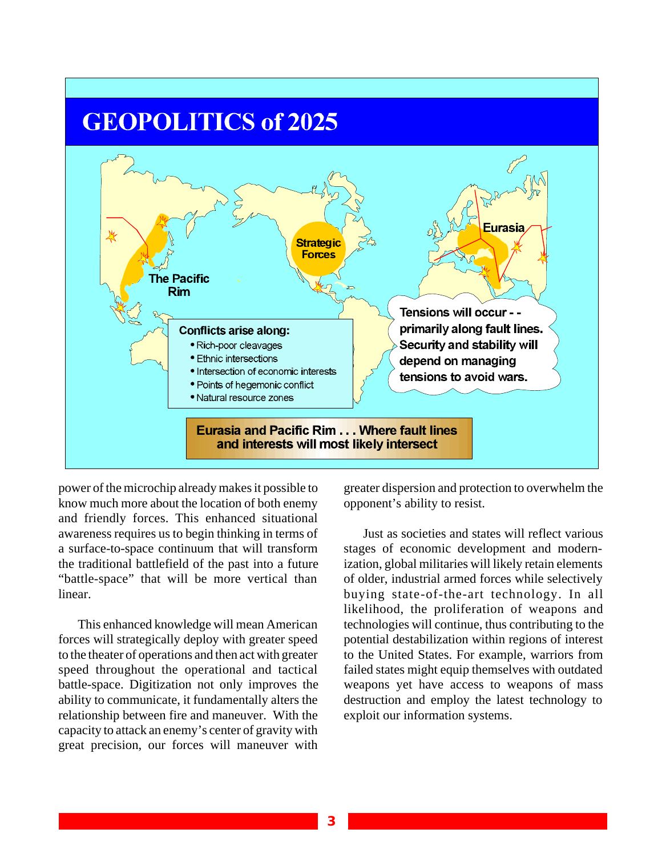# **GEOPOLITICS of 2025**



power of the microchip already makes it possible to know much more about the location of both enemy and friendly forces. This enhanced situational awareness requires us to begin thinking in terms of a surface-to-space continuum that will transform the traditional battlefield of the past into a future "battle-space" that will be more vertical than linear.

This enhanced knowledge will mean American forces will strategically deploy with greater speed to the theater of operations and then act with greater speed throughout the operational and tactical battle-space. Digitization not only improves the ability to communicate, it fundamentally alters the relationship between fire and maneuver. With the capacity to attack an enemy's center of gravity with great precision, our forces will maneuver with

greater dispersion and protection to overwhelm the opponent's ability to resist.

Just as societies and states will reflect various stages of economic development and modernization, global militaries will likely retain elements of older, industrial armed forces while selectively buying state-of-the-art technology. In all likelihood, the proliferation of weapons and technologies will continue, thus contributing to the potential destabilization within regions of interest to the United States. For example, warriors from failed states might equip themselves with outdated weapons yet have access to weapons of mass destruction and employ the latest technology to exploit our information systems.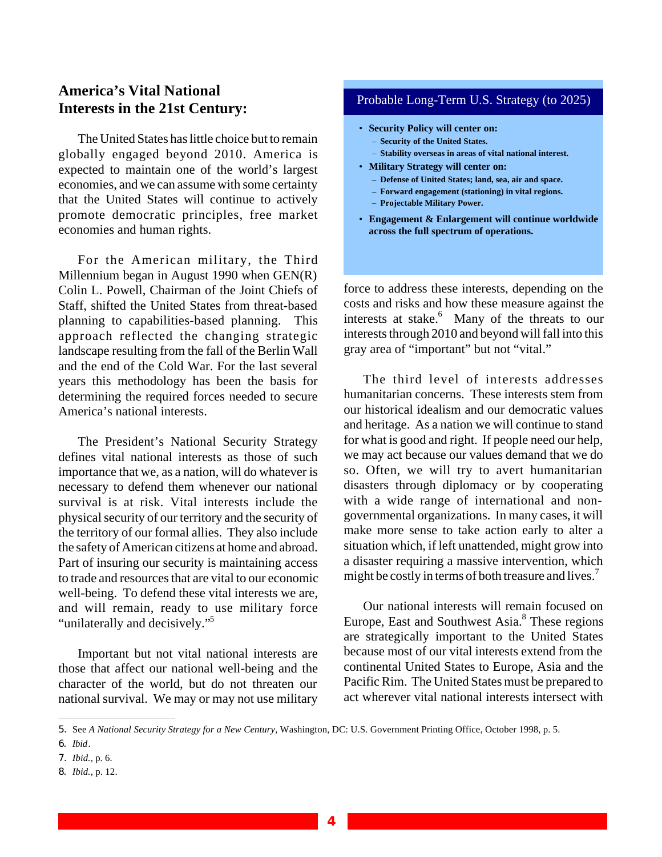## **America's Vital National Interests in the 21st Century:**

The United States has little choice but to remain globally engaged beyond 2010. America is expected to maintain one of the world's largest economies, and we can assume with some certainty that the United States will continue to actively promote democratic principles, free market economies and human rights.

For the American military, the Third Millennium began in August 1990 when GEN(R) Colin L. Powell, Chairman of the Joint Chiefs of Staff, shifted the United States from threat-based planning to capabilities-based planning. This approach reflected the changing strategic landscape resulting from the fall of the Berlin Wall and the end of the Cold War. For the last several years this methodology has been the basis for determining the required forces needed to secure America's national interests.

The President's National Security Strategy defines vital national interests as those of such importance that we, as a nation, will do whatever is necessary to defend them whenever our national survival is at risk. Vital interests include the physical security of our territory and the security of the territory of our formal allies. They also include the safety of American citizens at home and abroad. Part of insuring our security is maintaining access to trade and resources that are vital to our economic well-being. To defend these vital interests we are, and will remain, ready to use military force "unilaterally and decisively."<sup>5</sup>

Important but not vital national interests are those that affect our national well-being and the character of the world, but do not threaten our national survival. We may or may not use military

#### Probable Long-Term U.S. Strategy (to 2025)

- **Security Policy will center on:**
	- **Security of the United States.**
	- **Stability overseas in areas of vital national interest.**
- **Military Strategy will center on:**
	- **Defense of United States; land, sea, air and space.**
	- **Forward engagement (stationing) in vital regions.**
	- **Projectable Military Power.**
- **Engagement & Enlargement will continue worldwide across the full spectrum of operations.**

force to address these interests, depending on the costs and risks and how these measure against the interests at stake.<sup>6</sup> Many of the threats to our interests through 2010 and beyond will fall into this gray area of "important" but not "vital."

The third level of interests addresses humanitarian concerns. These interests stem from our historical idealism and our democratic values and heritage. As a nation we will continue to stand for what is good and right. If people need our help, we may act because our values demand that we do so. Often, we will try to avert humanitarian disasters through diplomacy or by cooperating with a wide range of international and nongovernmental organizations. In many cases, it will make more sense to take action early to alter a situation which, if left unattended, might grow into a disaster requiring a massive intervention, which might be costly in terms of both treasure and lives.<sup>7</sup>

Our national interests will remain focused on Europe, East and Southwest Asia.<sup>8</sup> These regions are strategically important to the United States because most of our vital interests extend from the continental United States to Europe, Asia and the Pacific Rim. The United States must be prepared to act wherever vital national interests intersect with

<sup>5.</sup> See *A National Security Strategy for a New Century*, Washington, DC: U.S. Government Printing Office, October 1998, p. 5.

<sup>6.</sup> *Ibid*.

<sup>7.</sup> *Ibid.,* p. 6.

<sup>8.</sup> *Ibid.,* p. 12.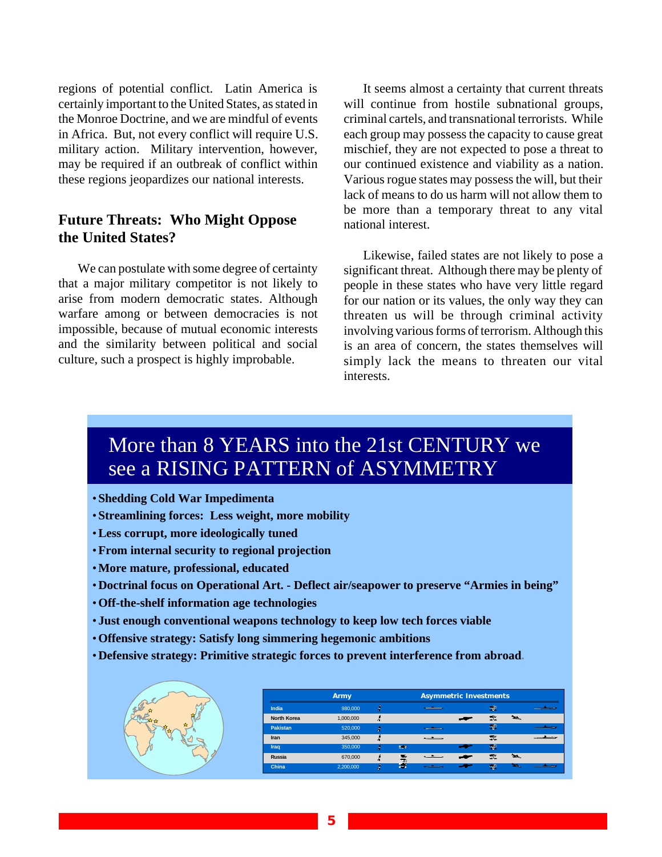regions of potential conflict. Latin America is certainly important to the United States, as stated in the Monroe Doctrine, and we are mindful of events in Africa. But, not every conflict will require U.S. military action. Military intervention, however, may be required if an outbreak of conflict within these regions jeopardizes our national interests.

## **Future Threats: Who Might Oppose the United States?**

We can postulate with some degree of certainty that a major military competitor is not likely to arise from modern democratic states. Although warfare among or between democracies is not impossible, because of mutual economic interests and the similarity between political and social culture, such a prospect is highly improbable.

It seems almost a certainty that current threats will continue from hostile subnational groups, criminal cartels, and transnational terrorists. While each group may possess the capacity to cause great mischief, they are not expected to pose a threat to our continued existence and viability as a nation. Various rogue states may possess the will, but their lack of means to do us harm will not allow them to be more than a temporary threat to any vital national interest.

Likewise, failed states are not likely to pose a significant threat. Although there may be plenty of people in these states who have very little regard for our nation or its values, the only way they can threaten us will be through criminal activity involving various forms of terrorism. Although this is an area of concern, the states themselves will simply lack the means to threaten our vital interests.

# More than 8 YEARS into the 21st CENTURY we see a RISING PATTERN of ASYMMETRY

- **Shedding Cold War Impedimenta**
- **Streamlining forces: Less weight, more mobility**
- •**Less corrupt, more ideologically tuned**
- •**From internal security to regional projection**
- •**More mature, professional, educated**
- •**Doctrinal focus on Operational Art. Deflect air/seapower to preserve "Armies in being"**
- •**Off-the-shelf information age technologies**
- **Just enough conventional weapons technology to keep low tech forces viable**
- •**Offensive strategy: Satisfy long simmering hegemonic ambitions**
- •**Defensive strategy: Primitive strategic forces to prevent interference from abroad.**

|          | <b>Army</b>        |           |    |                            | <b>Asymmetric Investments</b> |      |                |   |  |
|----------|--------------------|-----------|----|----------------------------|-------------------------------|------|----------------|---|--|
|          | India              | 980,000   |    |                            |                               |      | $\mathbb{P}$   |   |  |
| ÷<br>رها | <b>North Korea</b> | 1,000,000 | ÷. |                            |                               |      | 工              |   |  |
|          | <b>Pakistan</b>    | 520,000   |    |                            |                               |      | $\mathbf{r}$   |   |  |
|          | Iran               | 345,000   |    |                            | $\sim$                        |      | 霊              |   |  |
|          | Iraq               | 350,000   |    | <b>BOR</b>                 |                               | $-2$ | P              |   |  |
|          | Russia             | 670,000   | Æ  | <b>1964</b><br><b>Page</b> | . .                           | سمد  | $\mathbb{Z}^n$ | ≃ |  |
|          | China              | 2,200,000 | z  | ю                          |                               |      | ÷P             |   |  |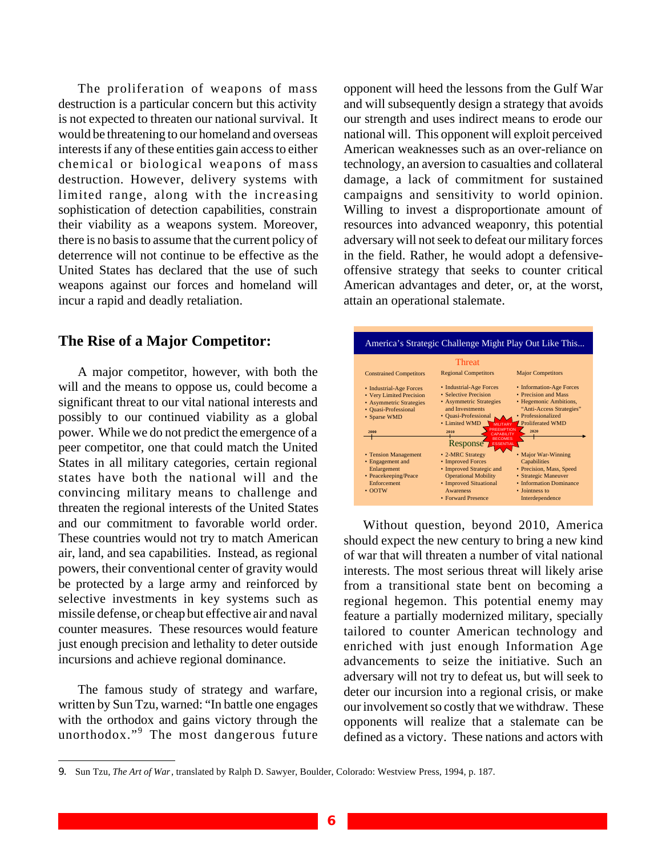The proliferation of weapons of mass destruction is a particular concern but this activity is not expected to threaten our national survival. It would be threatening to our homeland and overseas interests if any of these entities gain access to either chemical or biological weapons of mass destruction. However, delivery systems with limited range, along with the increasing sophistication of detection capabilities, constrain their viability as a weapons system. Moreover, there is no basis to assume that the current policy of deterrence will not continue to be effective as the United States has declared that the use of such weapons against our forces and homeland will incur a rapid and deadly retaliation.

#### **The Rise of a Major Competitor:**

A major competitor, however, with both the will and the means to oppose us, could become a significant threat to our vital national interests and possibly to our continued viability as a global power. While we do not predict the emergence of a peer competitor, one that could match the United States in all military categories, certain regional states have both the national will and the convincing military means to challenge and threaten the regional interests of the United States and our commitment to favorable world order. These countries would not try to match American air, land, and sea capabilities. Instead, as regional powers, their conventional center of gravity would be protected by a large army and reinforced by selective investments in key systems such as missile defense, or cheap but effective air and naval counter measures. These resources would feature just enough precision and lethality to deter outside incursions and achieve regional dominance.

The famous study of strategy and warfare, written by Sun Tzu, warned: "In battle one engages with the orthodox and gains victory through the unorthodox." 9 The most dangerous future

opponent will heed the lessons from the Gulf War and will subsequently design a strategy that avoids our strength and uses indirect means to erode our national will. This opponent will exploit perceived American weaknesses such as an over-reliance on technology, an aversion to casualties and collateral damage, a lack of commitment for sustained campaigns and sensitivity to world opinion. Willing to invest a disproportionate amount of resources into advanced weaponry, this potential adversary will not seek to defeat our military forces in the field. Rather, he would adopt a defensiveoffensive strategy that seeks to counter critical American advantages and deter, or, at the worst, attain an operational stalemate.



Without question, beyond 2010, America should expect the new century to bring a new kind of war that will threaten a number of vital national interests. The most serious threat will likely arise from a transitional state bent on becoming a regional hegemon. This potential enemy may feature a partially modernized military, specially tailored to counter American technology and enriched with just enough Information Age advancements to seize the initiative. Such an adversary will not try to defeat us, but will seek to deter our incursion into a regional crisis, or make our involvement so costly that we withdraw. These opponents will realize that a stalemate can be defined as a victory. These nations and actors with

<sup>9.</sup> Sun Tzu, *The Art of War*, translated by Ralph D. Sawyer, Boulder, Colorado: Westview Press, 1994, p. 187.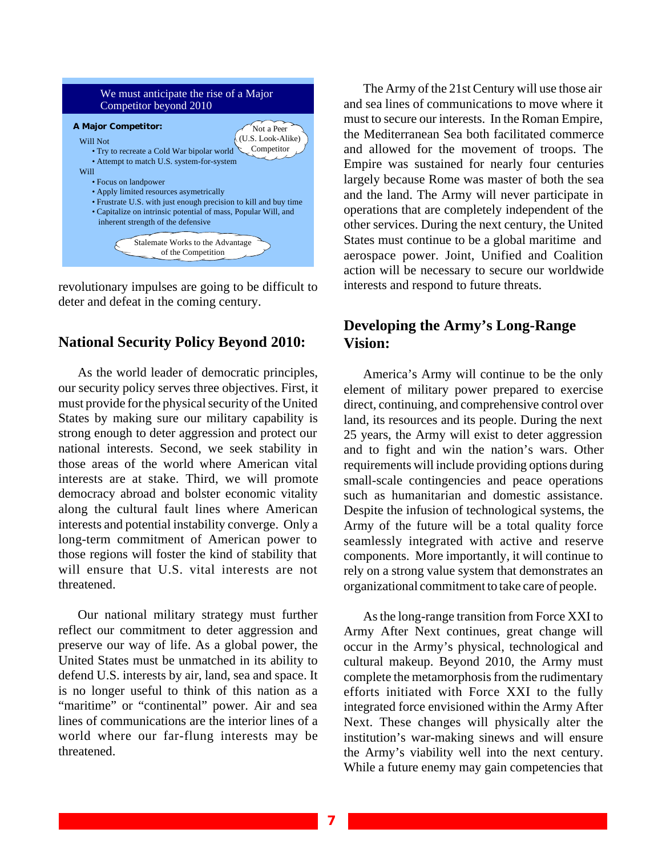

revolutionary impulses are going to be difficult to deter and defeat in the coming century.

#### **National Security Policy Beyond 2010:**

As the world leader of democratic principles, our security policy serves three objectives. First, it must provide for the physical security of the United States by making sure our military capability is strong enough to deter aggression and protect our national interests. Second, we seek stability in those areas of the world where American vital interests are at stake. Third, we will promote democracy abroad and bolster economic vitality along the cultural fault lines where American interests and potential instability converge. Only a long-term commitment of American power to those regions will foster the kind of stability that will ensure that U.S. vital interests are not threatened.

Our national military strategy must further reflect our commitment to deter aggression and preserve our way of life. As a global power, the United States must be unmatched in its ability to defend U.S. interests by air, land, sea and space. It is no longer useful to think of this nation as a "maritime" or "continental" power. Air and sea lines of communications are the interior lines of a world where our far-flung interests may be threatened.

The Army of the 21st Century will use those air and sea lines of communications to move where it must to secure our interests. In the Roman Empire, the Mediterranean Sea both facilitated commerce and allowed for the movement of troops. The Empire was sustained for nearly four centuries largely because Rome was master of both the sea and the land. The Army will never participate in operations that are completely independent of the other services. During the next century, the United States must continue to be a global maritime and aerospace power. Joint, Unified and Coalition action will be necessary to secure our worldwide interests and respond to future threats.

## **De vel op ing the Army's Long- Range** Vision:

America's Army will continue to be the only element of military power prepared to exercise direct, continuing, and comprehensive control over land, its resources and its people. During the next 25 years, the Army will exist to deter aggression and to fight and win the nation's wars. Other requirements will include providing options during small-scale contingencies and peace operations such as humanitarian and domestic assistance. Despite the infusion of technological systems, the Army of the future will be a total quality force seamlessly integrated with active and reserve components. More importantly, it will continue to rely on a strong value system that demonstrates an organizational commitment to take care of people.

As the long-range transition from Force XXI to Army After Next continues, great change will occur in the Army's physical, technological and cultural makeup. Beyond 2010, the Army must complete the metamorphosis from the rudimentary efforts initiated with Force XXI to the fully integrated force envisioned within the Army After Next. These changes will physically alter the institution's war-making sinews and will ensure the Army's viability well into the next century. While a future enemy may gain competencies that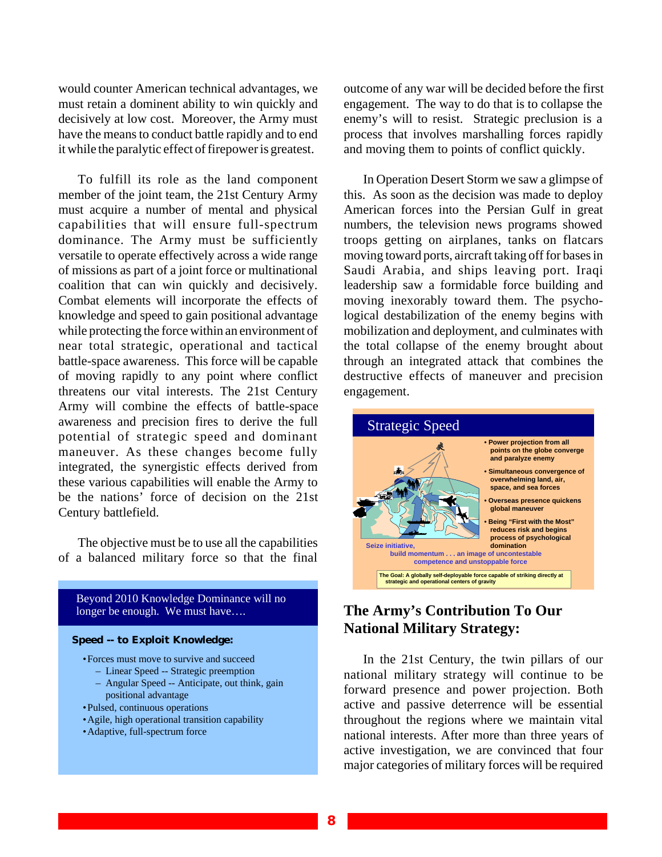would counter American technical advantages, we must retain a dominent ability to win quickly and decisively at low cost. Moreover, the Army must have the means to conduct battle rapidly and to end it while the paralytic effect of firepower is greatest.

To fulfill its role as the land component member of the joint team, the 21st Century Army must acquire a number of mental and physical capabilities that will ensure full-spectrum dominance. The Army must be sufficiently versatile to operate effectively across a wide range of missions as part of a joint force or multinational coalition that can win quickly and decisively. Combat elements will incorporate the effects of knowledge and speed to gain positional advantage while protecting the force within an environment of near total strategic, operational and tactical battle-space awareness. This force will be capable of moving rapidly to any point where conflict threatens our vital interests. The 21st Century Army will combine the effects of battle-space awareness and precision fires to derive the full potential of strategic speed and dominant maneuver. As these changes become fully integrated, the synergistic effects derived from these various capabilities will enable the Army to be the nations' force of decision on the 21st Century battlefield.

The objective must be to use all the capabilities of a balanced military force so that the final

Beyond 2010 Knowledge Dominance will no longer be enough. We must have….

#### **Speed -- to Exploit Knowledge:**

- •Forces must move to survive and succeed
- Linear Speed -- Strategic preemption
	- Angular Speed -- Anticipate, out think, gain positional advantage
- •Pulsed, continuous operations
- •Agile, high operational transition capability
- •Adaptive, full-spectrum force

outcome of any war will be decided before the first engagement. The way to do that is to collapse the enemy's will to resist. Strategic preclusion is a process that involves marshalling forces rapidly and moving them to points of conflict quickly.

In Operation Desert Storm we saw a glimpse of this. As soon as the decision was made to deploy American forces into the Persian Gulf in great numbers, the television news programs showed troops getting on airplanes, tanks on flatcars moving toward ports, aircraft taking off for bases in Saudi Arabia, and ships leaving port. Iraqi leadership saw a formidable force building and moving inexorably toward them. The psychological destabilization of the enemy begins with mobilization and deployment, and culminates with the total collapse of the enemy brought about through an integrated attack that combines the destructive effects of maneuver and precision engagement.



### **The Army's Contribution To Our National Military Strategy:**

In the 21st Century, the twin pillars of our national military strategy will continue to be forward presence and power projection. Both active and passive deterrence will be essential throughout the regions where we maintain vital national interests. After more than three years of active investigation, we are convinced that four major categories of military forces will be required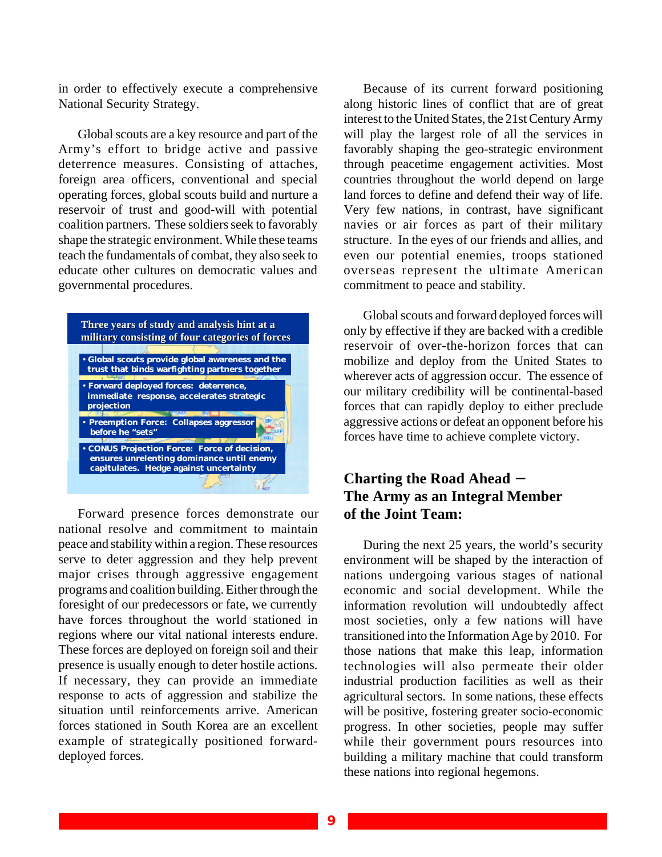in order to effectively execute a comprehensive National Security Strategy.

Global scouts are a key resource and part of the Army's effort to bridge active and passive deterrence measures. Consisting of attaches, foreign area officers, conventional and special operating forces, global scouts build and nurture a reservoir of trust and good-will with potential coalition partners. These soldiers seek to favorably shape the strategic environment. While these teams teach the fundamentals of combat, they also seek to educate other cultures on democratic values and governmental procedures.



Forward presence forces demonstrate our national resolve and commitment to maintain peace and stability within a region. These resources serve to deter aggression and they help prevent major crises through aggressive engagement programs and coalition building. Either through the foresight of our predecessors or fate, we currently have forces throughout the world stationed in regions where our vital national interests endure. These forces are deployed on foreign soil and their presence is usually enough to deter hostile actions. If necessary, they can provide an immediate response to acts of aggression and stabilize the situation until reinforcements arrive. American forces stationed in South Korea are an excellent example of strategically positioned forwarddeployed forces.

Because of its current forward positioning along historic lines of conflict that are of great interest to the United States, the 21st Century Army will play the largest role of all the services in favorably shaping the geo-strategic environment through peacetime engagement activities. Most countries throughout the world depend on large land forces to define and defend their way of life. Very few nations, in contrast, have significant navies or air forces as part of their military structure. In the eyes of our friends and allies, and even our potential enemies, troops stationed overseas represent the ultimate American commitment to peace and stability.

Global scouts and forward deployed forces will only by effective if they are backed with a credible reservoir of over-the-horizon forces that can mobilize and deploy from the United States to wherever acts of aggression occur. The essence of our military credibility will be continental-based forces that can rapidly deploy to either preclude aggressive actions or defeat an opponent before his forces have time to achieve complete victory.

## **Chart ing the Road Ahead** − **The Army as an Integral Member of the Joint Team:**

During the next 25 years, the world's security environment will be shaped by the interaction of nations undergoing various stages of national economic and social development. While the information revolution will undoubtedly affect most societies, only a few nations will have transitioned into the Information Age by 2010. For those nations that make this leap, information technologies will also permeate their older industrial production facilities as well as their agricultural sectors. In some nations, these effects will be positive, fostering greater socio-economic progress. In other societies, people may suffer while their government pours resources into building a military machine that could transform these nations into regional hegemons.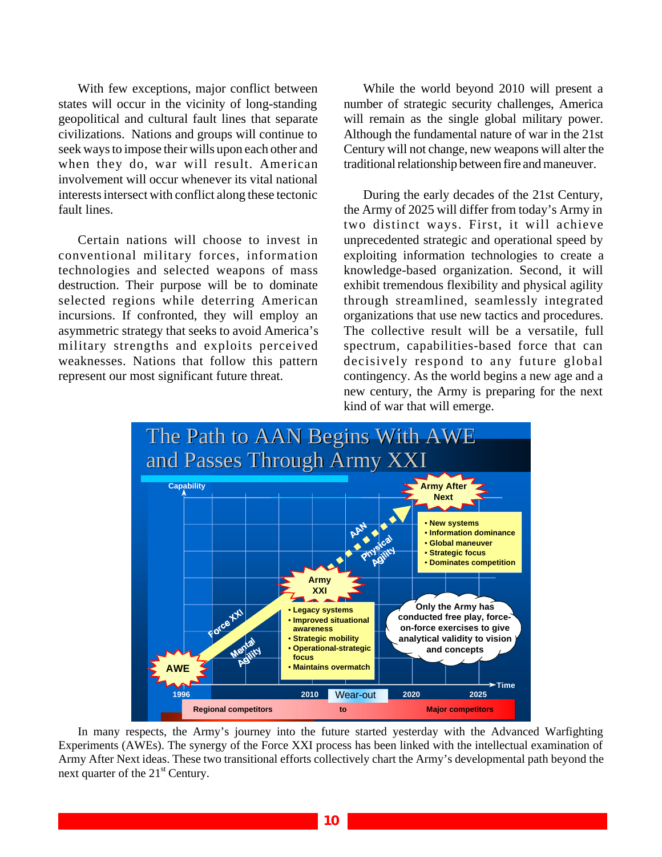With few exceptions, major conflict between states will occur in the vicinity of long-standing geopolitical and cultural fault lines that separate civilizations. Nations and groups will continue to seek ways to impose their wills upon each other and when they do, war will result. American involvement will occur whenever its vital national interests intersect with conflict along these tectonic fault lines.

Certain nations will choose to invest in conventional military forces, information technologies and selected weapons of mass destruction. Their purpose will be to dominate selected regions while deterring American incursions. If confronted, they will employ an asymmetric strategy that seeks to avoid America's military strengths and exploits perceived weaknesses. Nations that follow this pattern represent our most significant future threat.

While the world beyond 2010 will present a number of strategic security challenges, America will remain as the single global military power. Although the fundamental nature of war in the 21st Century will not change, new weapons will alter the traditional relationship between fire and maneuver.

During the early decades of the 21st Century, the Army of 2025 will differ from today's Army in two distinct ways. First, it will achieve unprecedented strategic and operational speed by exploiting information technologies to create a knowledge-based organization. Second, it will exhibit tremendous flexibility and physical agility through streamlined, seamlessly integrated organizations that use new tactics and procedures. The collective result will be a versatile, full spectrum, capabilities-based force that can decisively respond to any future global contingency. As the world begins a new age and a new century, the Army is preparing for the next kind of war that will emerge.



In many respects, the Army's journey into the future started yesterday with the Advanced Warfighting Experiments (AWEs). The synergy of the Force XXI process has been linked with the intellectual examination of Army After Next ideas. These two transitional efforts collectively chart the Army's developmental path beyond the next quarter of the  $21<sup>st</sup>$  Century.